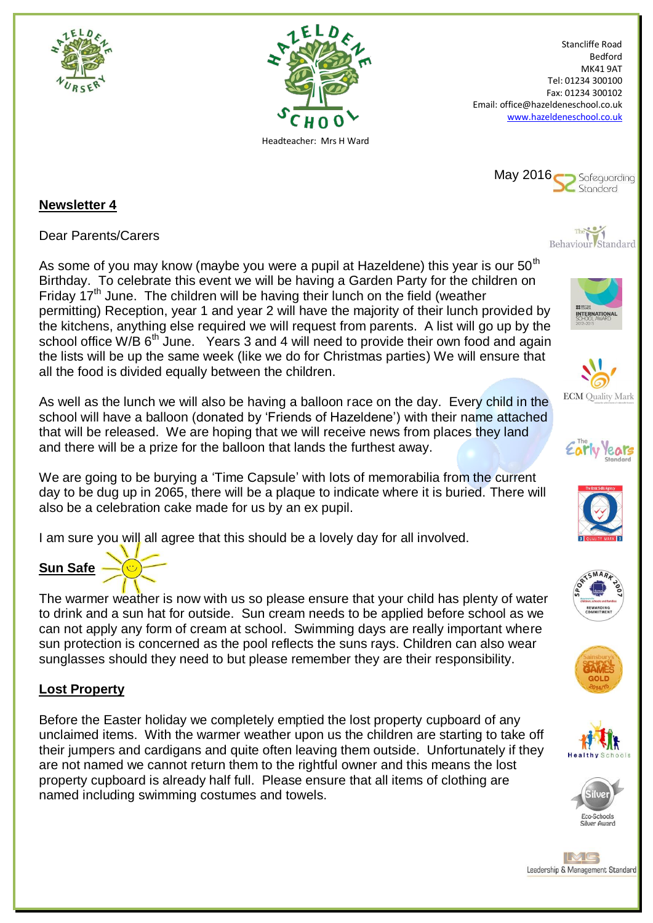



Stancliffe Road Bedford MK41 9AT Tel: 01234 300100 Fax: 01234 300102 Email: office@hazeldeneschool.co.uk [www.hazeldeneschool.co.uk](http://www.hazeldeneschool.co.uk/)



### **Newsletter 4**

Dear Parents/Carers

As some of you may know (maybe you were a pupil at Hazeldene) this year is our  $50<sup>th</sup>$ Birthday. To celebrate this event we will be having a Garden Party for the children on Friday 17<sup>th</sup> June. The children will be having their lunch on the field (weather permitting) Reception, year 1 and year 2 will have the majority of their lunch provided by the kitchens, anything else required we will request from parents. A list will go up by the school office W/B  $6<sup>th</sup>$  June. Years 3 and 4 will need to provide their own food and again the lists will be up the same week (like we do for Christmas parties) We will ensure that all the food is divided equally between the children.

As well as the lunch we will also be having a balloon race on the day. Every child in the school will have a balloon (donated by 'Friends of Hazeldene') with their name attached that will be released. We are hoping that we will receive news from places they land and there will be a prize for the balloon that lands the furthest away.

We are going to be burying a 'Time Capsule' with lots of memorabilia from the current day to be dug up in 2065, there will be a plaque to indicate where it is buried. There will also be a celebration cake made for us by an ex pupil.

I am sure you will all agree that this should be a lovely day for all involved.

# **Sun Safe**

The warmer weather is now with us so please ensure that your child has plenty of water to drink and a sun hat for outside. Sun cream needs to be applied before school as we can not apply any form of cream at school. Swimming days are really important where sun protection is concerned as the pool reflects the suns rays. Children can also wear sunglasses should they need to but please remember they are their responsibility.

## **Lost Property**

Before the Easter holiday we completely emptied the lost property cupboard of any unclaimed items. With the warmer weather upon us the children are starting to take off their jumpers and cardigans and quite often leaving them outside. Unfortunately if they are not named we cannot return them to the rightful owner and this means the lost property cupboard is already half full. Please ensure that all items of clothing are named including swimming costumes and towels.



















IMG Leadership & Management Standard